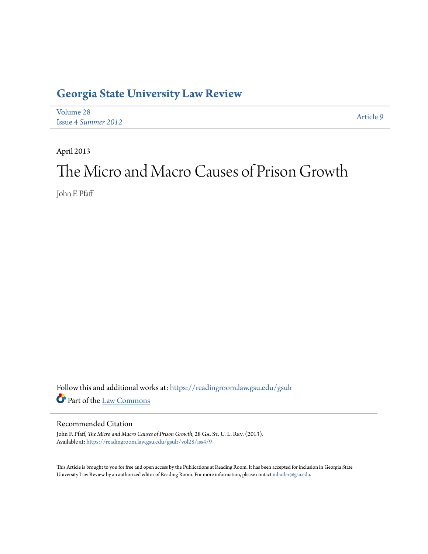# **[Georgia State University Law Review](https://readingroom.law.gsu.edu/gsulr?utm_source=readingroom.law.gsu.edu%2Fgsulr%2Fvol28%2Fiss4%2F9&utm_medium=PDF&utm_campaign=PDFCoverPages)**

| Volume 28                  | Article 9 |
|----------------------------|-----------|
| <b>Issue 4 Summer 2012</b> |           |

April 2013

# The Micro and Macro Causes of Prison Growth

John F. Pfaff

Follow this and additional works at: [https://readingroom.law.gsu.edu/gsulr](https://readingroom.law.gsu.edu/gsulr?utm_source=readingroom.law.gsu.edu%2Fgsulr%2Fvol28%2Fiss4%2F9&utm_medium=PDF&utm_campaign=PDFCoverPages) Part of the [Law Commons](http://network.bepress.com/hgg/discipline/578?utm_source=readingroom.law.gsu.edu%2Fgsulr%2Fvol28%2Fiss4%2F9&utm_medium=PDF&utm_campaign=PDFCoverPages)

## Recommended Citation

John F. Pfaff, *The Micro and Macro Causes of Prison Growth*, 28 GA. ST. U. L. REV. (2013). Available at: [https://readingroom.law.gsu.edu/gsulr/vol28/iss4/9](https://readingroom.law.gsu.edu/gsulr/vol28/iss4/9?utm_source=readingroom.law.gsu.edu%2Fgsulr%2Fvol28%2Fiss4%2F9&utm_medium=PDF&utm_campaign=PDFCoverPages)

This Article is brought to you for free and open access by the Publications at Reading Room. It has been accepted for inclusion in Georgia State University Law Review by an authorized editor of Reading Room. For more information, please contact [mbutler@gsu.edu.](mailto:mbutler@gsu.edu)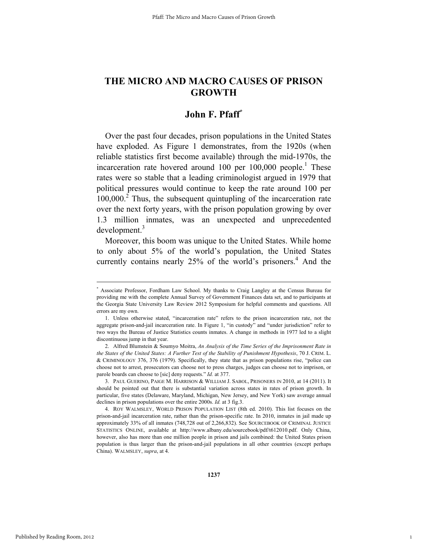## **John F. Pfaff\***

Over the past four decades, prison populations in the United States have exploded. As Figure 1 demonstrates, from the 1920s (when reliable statistics first become available) through the mid-1970s, the incarceration rate hovered around 100 per  $100,000$  people.<sup>1</sup> These rates were so stable that a leading criminologist argued in 1979 that political pressures would continue to keep the rate around 100 per 100,000.<sup>2</sup> Thus, the subsequent quintupling of the incarceration rate over the next forty years, with the prison population growing by over 1.3 million inmates, was an unexpected and unprecedented development.<sup>3</sup>

Moreover, this boom was unique to the United States. While home to only about 5% of the world's population, the United States currently contains nearly  $25%$  of the world's prisoners.<sup>4</sup> And the

<u> Andrewski program i području u predsjednje u program i području u predsjednje u program i području u program</u>

1

<sup>\*</sup> Associate Professor, Fordham Law School. My thanks to Craig Langley at the Census Bureau for providing me with the complete Annual Survey of Government Finances data set, and to participants at the Georgia State University Law Review 2012 Symposium for helpful comments and questions. All errors are my own.

 <sup>1.</sup> Unless otherwise stated, "incarceration rate" refers to the prison incarceration rate, not the aggregate prison-and-jail incarceration rate. In Figure 1, "in custody" and "under jurisdiction" refer to two ways the Bureau of Justice Statistics counts inmates. A change in methods in 1977 led to a slight discontinuous jump in that year.

 <sup>2.</sup> Alfred Blumstein & Soumyo Moitra, *An Analysis of the Time Series of the Imprisonment Rate in the States of the United States: A Further Test of the Stability of Punishment Hypothesis*, 70 J. CRIM. L. & CRIMINOLOGY 376, 376 (1979). Specifically, they state that as prison populations rise, "police can choose not to arrest, prosecutors can choose not to press charges, judges can choose not to imprison, or parole boards can choose to [sic] deny requests." *Id.* at 377.

 <sup>3.</sup> PAUL GUERINO, PAIGE M. HARRISON & WILLIAM J. SABOL, PRISONERS IN 2010, at 14 (2011). It should be pointed out that there is substantial variation across states in rates of prison growth. In particular, five states (Delaware, Maryland, Michigan, New Jersey, and New York) saw average annual declines in prison populations over the entire 2000s. *Id.* at 3 fig.3.

 <sup>4.</sup> ROY WALMSLEY, WORLD PRISON POPULATION LIST (8th ed. 2010). This list focuses on the prison-and-jail incarceration rate, rather than the prison-specific rate. In 2010, inmates in jail made up approximately 33% of all inmates (748,728 out of 2,266,832). See SOURCEBOOK OF CRIMINAL JUSTICE STATISTICS ONLINE, available at http://www.albany.edu/sourcebook/pdf/t612010.pdf. Only China, however, also has more than one million people in prison and jails combined: the United States prison population is thus larger than the prison-and-jail populations in all other countries (except perhaps China). WALMSLEY, *supra*, at 4.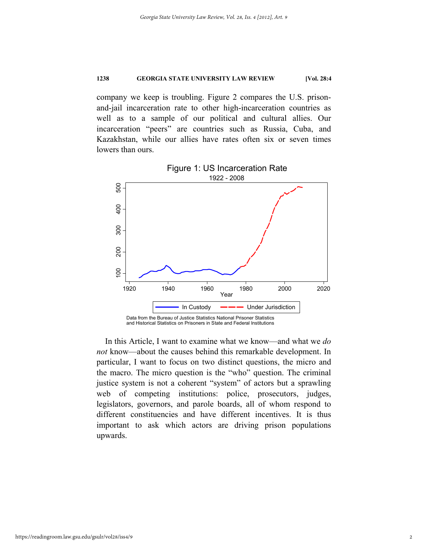company we keep is troubling. Figure 2 compares the U.S. prisonand-jail incarceration rate to other high-incarceration countries as well as to a sample of our political and cultural allies. Our incarceration "peers" are countries such as Russia, Cuba, and Kazakhstan, while our allies have rates often six or seven times lowers than ours.



1922 - 2008 Figure 1: US Incarceration Rate

and the matrix of the matrix of the matrix of the matrix of the matrix different important upwards. In this Article, I want to examine what we know—and what we *do not* know—about the causes behind this remarkable development. In particular, I want to focus on two distinct questions, the micro and the macro. The micro question is the "who" question. The criminal justice system is not a coherent "system" of actors but a sprawling web of competing institutions: police, prosecutors, judges, legislators, governors, and parole boards, all of whom respond to different constituencies and have different incentives. It is thus important to ask which actors are driving prison populations upwards.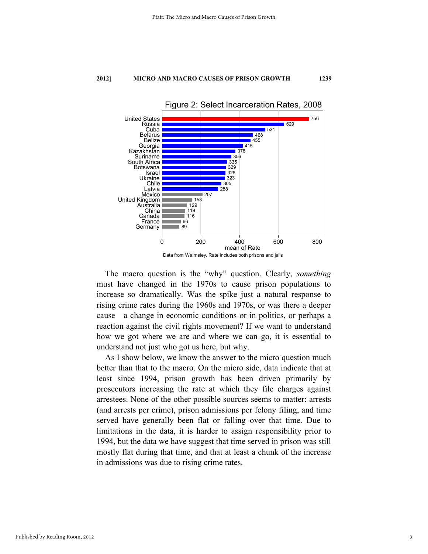

The macro question is the "why" question. Clearly, *something* must have changed in the 1970s to cause prison populations to increase so dramatically. Was the spike just a natural response to rising crime rates during the 1960s and 1970s, or was there a deeper cause—a change in economic conditions or in politics, or perhaps a reaction against the civil rights movement? If we want to understand how we got where we are and where we can go, it is essential to understand not just who got us here, but why.

As I show below, we know the answer to the micro question much better than that to the macro. On the micro side, data indicate that at least since 1994, prison growth has been driven primarily by prosecutors increasing the rate at which they file charges against arrestees. None of the other possible sources seems to matter: arrests (and arrests per crime), prison admissions per felony filing, and time served have generally been flat or falling over that time. Due to limitations in the data, it is harder to assign responsibility prior to 1994, but the data we have suggest that time served in prison was still mostly flat during that time, and that at least a chunk of the increase in admissions was due to rising crime rates.

3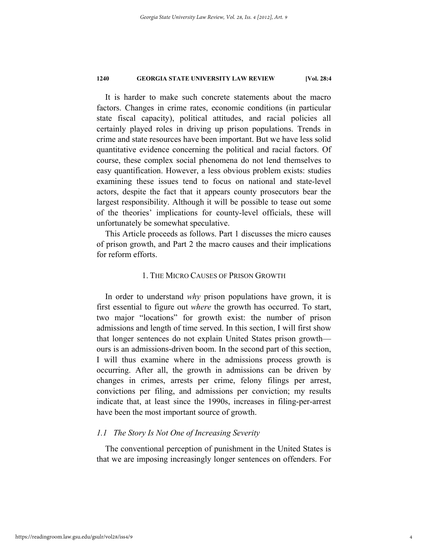It is harder to make such concrete statements about the macro factors. Changes in crime rates, economic conditions (in particular state fiscal capacity), political attitudes, and racial policies all certainly played roles in driving up prison populations. Trends in crime and state resources have been important. But we have less solid quantitative evidence concerning the political and racial factors. Of course, these complex social phenomena do not lend themselves to easy quantification. However, a less obvious problem exists: studies examining these issues tend to focus on national and state-level actors, despite the fact that it appears county prosecutors bear the largest responsibility. Although it will be possible to tease out some of the theories' implications for county-level officials, these will unfortunately be somewhat speculative.

This Article proceeds as follows. Part 1 discusses the micro causes of prison growth, and Part 2 the macro causes and their implications for reform efforts.

## 1. THE MICRO CAUSES OF PRISON GROWTH

In order to understand *why* prison populations have grown, it is first essential to figure out *where* the growth has occurred. To start, two major "locations" for growth exist: the number of prison admissions and length of time served. In this section, I will first show that longer sentences do not explain United States prison growth ours is an admissions-driven boom. In the second part of this section, I will thus examine where in the admissions process growth is occurring. After all, the growth in admissions can be driven by changes in crimes, arrests per crime, felony filings per arrest, convictions per filing, and admissions per conviction; my results indicate that, at least since the 1990s, increases in filing-per-arrest have been the most important source of growth.

## *1.1 The Story Is Not One of Increasing Severity*

The conventional perception of punishment in the United States is that we are imposing increasingly longer sentences on offenders. For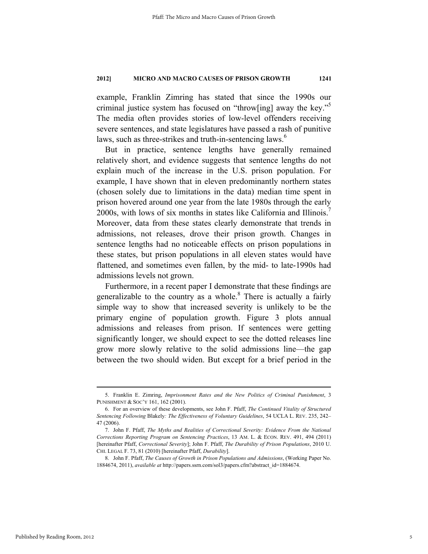example, Franklin Zimring has stated that since the 1990s our criminal justice system has focused on "throw[ing] away the key."5 The media often provides stories of low-level offenders receiving severe sentences, and state legislatures have passed a rash of punitive laws, such as three-strikes and truth-in-sentencing laws.<sup>6</sup>

But in practice, sentence lengths have generally remained relatively short, and evidence suggests that sentence lengths do not explain much of the increase in the U.S. prison population. For example, I have shown that in eleven predominantly northern states (chosen solely due to limitations in the data) median time spent in prison hovered around one year from the late 1980s through the early 2000s, with lows of six months in states like California and Illinois.7 Moreover, data from these states clearly demonstrate that trends in admissions, not releases, drove their prison growth. Changes in sentence lengths had no noticeable effects on prison populations in these states, but prison populations in all eleven states would have flattened, and sometimes even fallen, by the mid- to late-1990s had admissions levels not grown.

Furthermore, in a recent paper I demonstrate that these findings are generalizable to the country as a whole. $8$  There is actually a fairly simple way to show that increased severity is unlikely to be the primary engine of population growth. Figure 3 plots annual admissions and releases from prison. If sentences were getting significantly longer, we should expect to see the dotted releases line grow more slowly relative to the solid admissions line—the gap between the two should widen. But except for a brief period in the

<sup>&</sup>lt;u> Andrewski program i području u predsjednje u program i području u predsjednje u program i području u program</u> 5. Franklin E. Zimring, *Imprisonment Rates and the New Politics of Criminal Punishment*, 3 PUNISHMENT & SOC'Y 161, 162 (2001).

 <sup>6.</sup> For an overview of these developments, see John F. Pfaff, *The Continued Vitality of Structured Sentencing Following* Blakely*: The Effectiveness of Voluntary Guidelines*, 54 UCLA L. REV. 235, 242– 47 (2006).

 <sup>7.</sup> John F. Pfaff, *The Myths and Realities of Correctional Severity: Evidence From the National Corrections Reporting Program on Sentencing Practices*, 13 AM. L. & ECON. REV. 491, 494 (2011) [hereinafter Pfaff, *Correctional Severity*]; John F. Pfaff, *The Durability of Prison Populations*, 2010 U. CHI. LEGAL F. 73, 81 (2010) [hereinafter Pfaff, *Durability*].

 <sup>8.</sup> John F. Pfaff, *The Causes of Growth in Prison Populations and Admissions*, (Working Paper No. 1884674, 2011), *available at* http://papers.ssrn.com/sol3/papers.cfm?abstract\_id=1884674.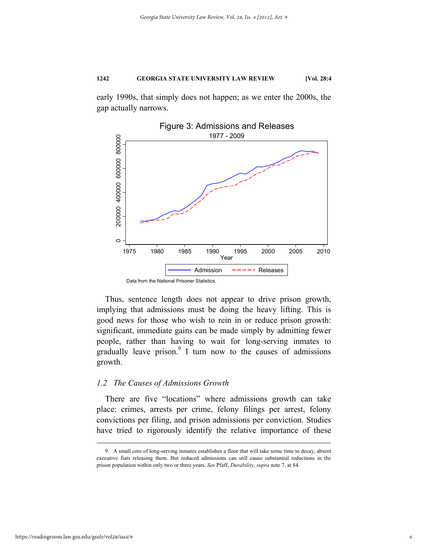early 1990s, that simply does not happen; as we enter the 2000s, the gap actually narrows.



Thus, sentence length does not appear to drive prison growth, implying that admissions must be doing the heavy lifting. This is good news for those who wish to rein in or reduce prison growth: significant, immediate gains can be made simply by admitting fewer people, rather than having to wait for long-serving inmates to gradually leave prison. $9$  I turn now to the causes of admissions growth.

## *1.2 The Causes of Admissions Growth*

There are five "locations" where admissions growth can take place: crimes, arrests per crime, felony filings per arrest, felony convictions per filing, and prison admissions per conviction. Studies have tried to rigorously identify the relative importance of these

 <sup>9.</sup> A small core of long-serving inmates establishes a floor that will take some time to decay, absent executive fiats releasing them. But reduced admissions can still cause substantial reductions in the prison population within only two or three years. *See* Pfaff, *Durability*, *supra* note 7, at 84.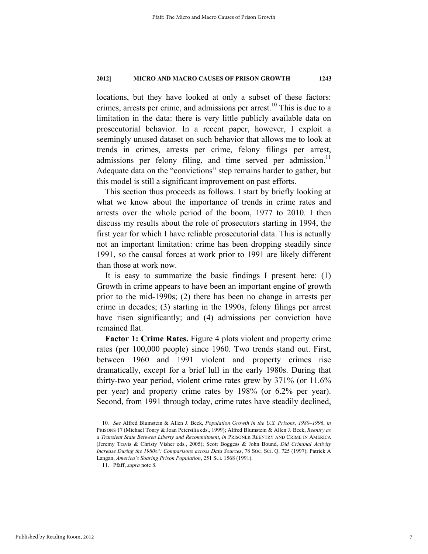locations, but they have looked at only a subset of these factors: crimes, arrests per crime, and admissions per arrest.<sup>10</sup> This is due to a limitation in the data: there is very little publicly available data on prosecutorial behavior. In a recent paper, however, I exploit a seemingly unused dataset on such behavior that allows me to look at trends in crimes, arrests per crime, felony filings per arrest, admissions per felony filing, and time served per admission.<sup>11</sup> Adequate data on the "convictions" step remains harder to gather, but this model is still a significant improvement on past efforts.

This section thus proceeds as follows. I start by briefly looking at what we know about the importance of trends in crime rates and arrests over the whole period of the boom, 1977 to 2010. I then discuss my results about the role of prosecutors starting in 1994, the first year for which I have reliable prosecutorial data. This is actually not an important limitation: crime has been dropping steadily since 1991, so the causal forces at work prior to 1991 are likely different than those at work now.

It is easy to summarize the basic findings I present here: (1) Growth in crime appears to have been an important engine of growth prior to the mid-1990s; (2) there has been no change in arrests per crime in decades; (3) starting in the 1990s, felony filings per arrest have risen significantly; and (4) admissions per conviction have remained flat.

**Factor 1: Crime Rates.** Figure 4 plots violent and property crime rates (per 100,000 people) since 1960. Two trends stand out. First, between 1960 and 1991 violent and property crimes rise dramatically, except for a brief lull in the early 1980s. During that thirty-two year period, violent crime rates grew by 371% (or 11.6% per year) and property crime rates by 198% (or 6.2% per year). Second, from 1991 through today, crime rates have steadily declined,

<sup>10</sup>*. See* Alfred Blumstein & Allen J. Beck, *Population Growth in the U.S. Prisons, 1980–1996*, *in*  PRISONS 17 (Michael Tonry & Joan Petersilia eds., 1999); Alfred Blumstein & Allen J. Beck, *Reentry as a Transient State Between Liberty and Recommitment*, *in* PRISONER REENTRY AND CRIME IN AMERICA (Jeremy Travis & Christy Visher eds., 2005); Scott Boggess & John Bound, *Did Criminal Activity Increase During the 1980s?: Comparisons across Data Sources*, 78 SOC. SCI. Q. 725 (1997); Patrick A Langan, *America's Soaring Prison Population*, 251 SCI. 1568 (1991).

 <sup>11.</sup> Pfaff, *supra* note 8.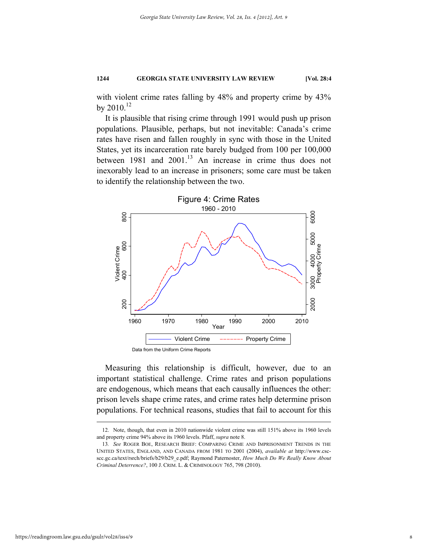with violent crime rates falling by 48% and property crime by 43% by 2010.<sup>12</sup>

It is plausible that rising crime through 1991 would push up prison populations. Plausible, perhaps, but not inevitable: Canada's crime rates have risen and fallen roughly in sync with those in the United States, yet its incarceration rate barely budged from 100 per 100,000 between 1981 and 2001.<sup>13</sup> An increase in crime thus does not inexorably lead to an increase in prisoners; some care must be taken to identify the relationship between the two.



Measuring this relationship is difficult, however, due to an important statistical challenge. Crime rates and prison populations are endogenous, which means that each causally influences the other: prison levels shape crime rates, and crime rates help determine prison populations. For technical reasons, studies that fail to account for this

<sup>&</sup>lt;u> 1989 - Johann Barn, mars eta bainar eta bat erroman erroman erroman erroman erroman erroman erroman erroman e</u> 12. Note, though, that even in 2010 nationwide violent crime was still 151% above its 1960 levels and property crime 94% above its 1960 levels. Pfaff, *supra* note 8.

<sup>13</sup>*. See* ROGER BOE, RESEARCH BRIEF: COMPARING CRIME AND IMPRISONMENT TRENDS IN THE UNITED STATES, ENGLAND, AND CANADA FROM 1981 TO 2001 (2004), *available at* http://www.cscscc.gc.ca/text/rsrch/briefs/b29/b29\_e.pdf; Raymond Paternoster, *How Much Do We Really Know About Criminal Deterrence?*, 100 J. CRIM. L. & CRIMINOLOGY 765, 798 (2010).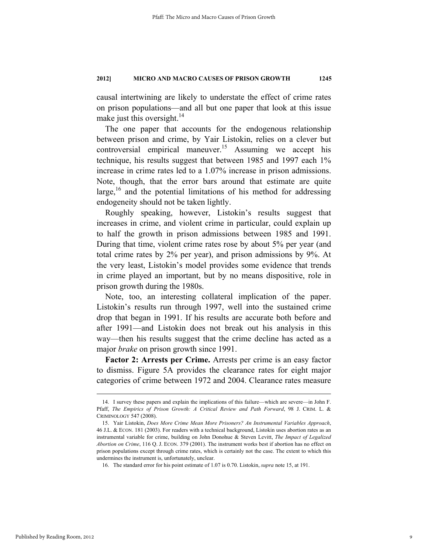causal intertwining are likely to understate the effect of crime rates on prison populations—and all but one paper that look at this issue make just this oversight.<sup>14</sup>

The one paper that accounts for the endogenous relationship between prison and crime, by Yair Listokin, relies on a clever but controversial empirical maneuver.<sup>15</sup> Assuming we accept his technique, his results suggest that between 1985 and 1997 each 1% increase in crime rates led to a 1.07% increase in prison admissions. Note, though, that the error bars around that estimate are quite large, $16$  and the potential limitations of his method for addressing endogeneity should not be taken lightly.

Roughly speaking, however, Listokin's results suggest that increases in crime, and violent crime in particular, could explain up to half the growth in prison admissions between 1985 and 1991. During that time, violent crime rates rose by about 5% per year (and total crime rates by 2% per year), and prison admissions by 9%. At the very least, Listokin's model provides some evidence that trends in crime played an important, but by no means dispositive, role in prison growth during the 1980s.

Note, too, an interesting collateral implication of the paper. Listokin's results run through 1997, well into the sustained crime drop that began in 1991. If his results are accurate both before and after 1991—and Listokin does not break out his analysis in this way—then his results suggest that the crime decline has acted as a major *brake* on prison growth since 1991.

**Factor 2: Arrests per Crime.** Arrests per crime is an easy factor to dismiss. Figure 5A provides the clearance rates for eight major categories of crime between 1972 and 2004. Clearance rates measure

 <sup>14.</sup> I survey these papers and explain the implications of this failure—which are severe—in John F. Pfaff, *The Empirics of Prison Growth: A Critical Review and Path Forward*, 98 J. CRIM. L. & CRIMINOLOGY 547 (2008).

 <sup>15.</sup> Yair Listokin, *Does More Crime Mean More Prisoners? An Instrumental Variables Approach*, 46 J.L. & ECON. 181 (2003). For readers with a technical background, Listokin uses abortion rates as an instrumental variable for crime, building on John Donohue & Steven Levitt, *The Impact of Legalized Abortion on Crime*, 116 Q. J. ECON. 379 (2001). The instrument works best if abortion has no effect on prison populations except through crime rates, which is certainly not the case. The extent to which this undermines the instrument is, unfortunately, unclear.

 <sup>16.</sup> The standard error for his point estimate of 1.07 is 0.70. Listokin, *supra* note 15, at 191.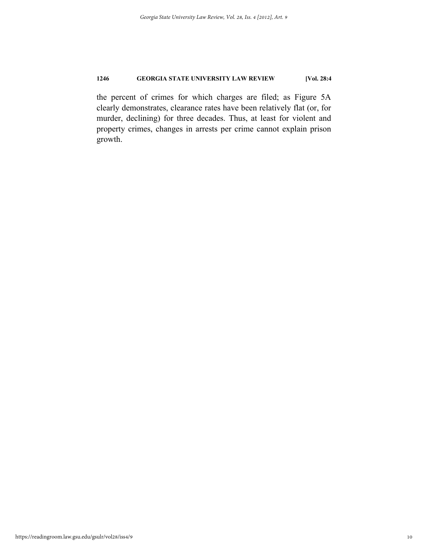the percent of crimes for which charges are filed; as Figure 5A clearly demonstrates, clearance rates have been relatively flat (or, for murder, declining) for three decades. Thus, at least for violent and property crimes, changes in arrests per crime cannot explain prison growth.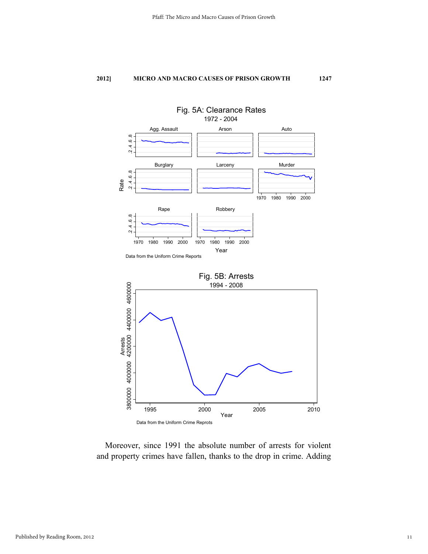



Moreover, since 1991 the absolute number of arrests for violent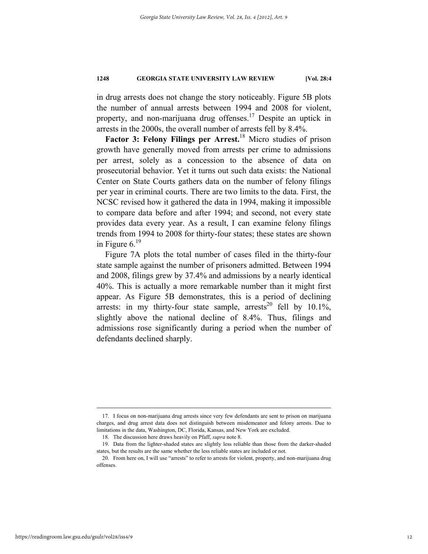in drug arrests does not change the story noticeably. Figure 5B plots the number of annual arrests between 1994 and 2008 for violent, property, and non-marijuana drug offenses.17 Despite an uptick in arrests in the 2000s, the overall number of arrests fell by 8.4%.

**Factor 3: Felony Filings per Arrest.**18 Micro studies of prison growth have generally moved from arrests per crime to admissions per arrest, solely as a concession to the absence of data on prosecutorial behavior. Yet it turns out such data exists: the National Center on State Courts gathers data on the number of felony filings per year in criminal courts. There are two limits to the data. First, the NCSC revised how it gathered the data in 1994, making it impossible to compare data before and after 1994; and second, not every state provides data every year. As a result, I can examine felony filings trends from 1994 to 2008 for thirty-four states; these states are shown in Figure 6.19

Figure 7A plots the total number of cases filed in the thirty-four state sample against the number of prisoners admitted. Between 1994 and 2008, filings grew by 37.4% and admissions by a nearly identical 40%. This is actually a more remarkable number than it might first appear. As Figure 5B demonstrates, this is a period of declining arrests: in my thirty-four state sample, arrests<sup>20</sup> fell by  $10.1\%$ , slightly above the national decline of 8.4%. Thus, filings and admissions rose significantly during a period when the number of defendants declined sharply.

 <sup>17.</sup> I focus on non-marijuana drug arrests since very few defendants are sent to prison on marijuana charges, and drug arrest data does not distinguish between misdemeanor and felony arrests. Due to limitations in the data, Washington, DC, Florida, Kansas, and New York are excluded.

 <sup>18.</sup> The discussion here draws heavily on Pfaff, *supra* note 8.

 <sup>19.</sup> Data from the lighter-shaded states are slightly less reliable than those from the darker-shaded states, but the results are the same whether the less reliable states are included or not.

 <sup>20.</sup> From here on, I will use "arrests" to refer to arrests for violent, property, and non-marijuana drug offenses.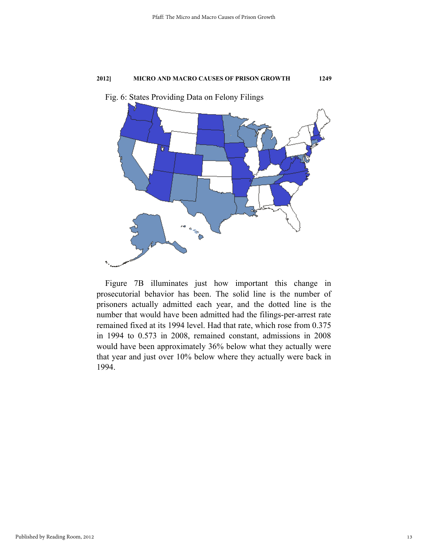

Fig. 6: States Providing Data on Felony Filings

Figure 7B illuminates just how important this change in prosecutorial behavior has been. The solid line is the number of prisoners actually admitted each year, and the dotted line is the number that would have been admitted had the filings-per-arrest rate remained fixed at its 1994 level. Had that rate, which rose from 0.375 in 1994 to 0.573 in 2008, remained constant, admissions in 2008 would have been approximately 36% below what they actually were that year and just over 10% below where they actually were back in 1994.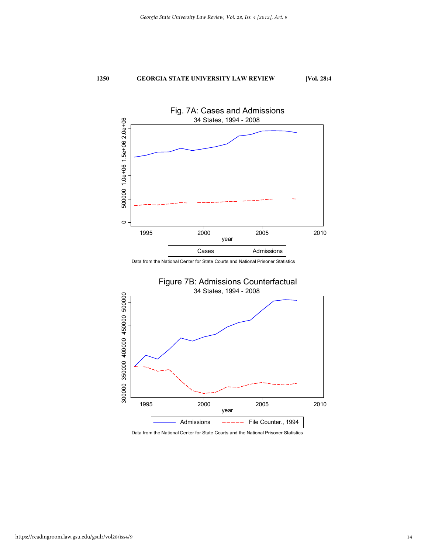

Data from the National Center for State Courts and National Prisoner Statistics



Data from the National Center for State Courts and the National Prisoner Statistics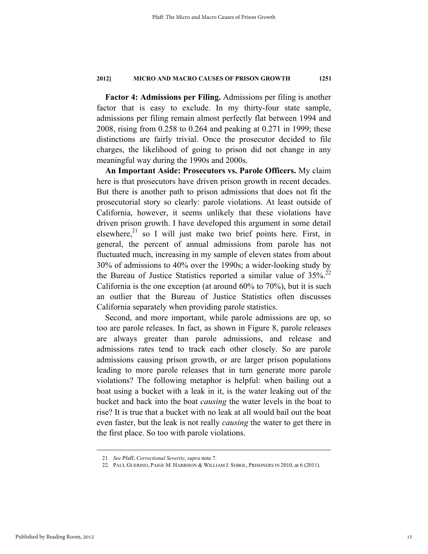**Factor 4: Admissions per Filing.** Admissions per filing is another factor that is easy to exclude. In my thirty-four state sample, admissions per filing remain almost perfectly flat between 1994 and 2008, rising from 0.258 to 0.264 and peaking at 0.271 in 1999; these distinctions are fairly trivial. Once the prosecutor decided to file charges, the likelihood of going to prison did not change in any meaningful way during the 1990s and 2000s.

**An Important Aside: Prosecutors vs. Parole Officers.** My claim here is that prosecutors have driven prison growth in recent decades. But there is another path to prison admissions that does not fit the prosecutorial story so clearly: parole violations. At least outside of California, however, it seems unlikely that these violations have driven prison growth. I have developed this argument in some detail elsewhere, $21$  so I will just make two brief points here. First, in general, the percent of annual admissions from parole has not fluctuated much, increasing in my sample of eleven states from about 30% of admissions to 40% over the 1990s; a wider-looking study by the Bureau of Justice Statistics reported a similar value of  $35\%$ <sup>22</sup> California is the one exception (at around 60% to 70%), but it is such an outlier that the Bureau of Justice Statistics often discusses California separately when providing parole statistics.

Second, and more important, while parole admissions are up, so too are parole releases. In fact, as shown in Figure 8, parole releases are always greater than parole admissions, and release and admissions rates tend to track each other closely. So are parole admissions causing prison growth, or are larger prison populations leading to more parole releases that in turn generate more parole violations? The following metaphor is helpful: when bailing out a boat using a bucket with a leak in it, is the water leaking out of the bucket and back into the boat *causing* the water levels in the boat to rise? It is true that a bucket with no leak at all would bail out the boat even faster, but the leak is not really *causing* the water to get there in the first place. So too with parole violations.

<sup>21</sup>*. See* Pfaff, *Correctional Severity*, *supra* note 7.

 <sup>22.</sup> PAUL GUERINO, PAIGE M. HARRISON & WILLIAM J. SOBOL, PRISONERS IN 2010, at 6 (2011).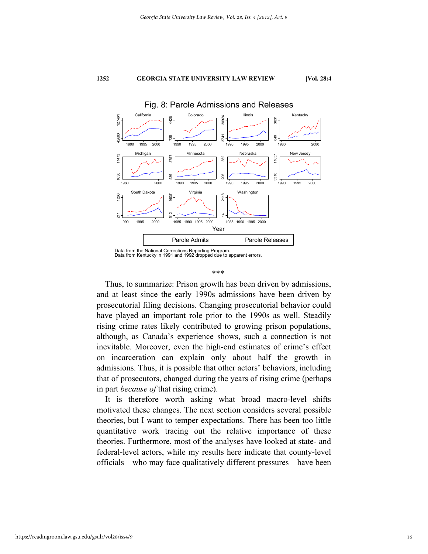

## Fig. 8: Parole Admissions and Releases

Data from the National Corrections Reporting Program. Data from Kentucky in 1991 and 1992 dropped due to apparent errors.

#### \*\*\*

Thus, to summarize: Prison growth has been driven by admissions, and at least since the early 1990s admissions have been driven by prosecutorial filing decisions. Changing prosecutorial behavior could have played an important role prior to the 1990s as well. Steadily rising crime rates likely contributed to growing prison populations, although, as Canada's experience shows, such a connection is not inevitable. Moreover, even the high-end estimates of crime's effect on incarceration can explain only about half the growth in admissions. Thus, it is possible that other actors' behaviors, including that of prosecutors, changed during the years of rising crime (perhaps in part *because of* that rising crime).

It is therefore worth asking what broad macro-level shifts motivated these changes. The next section considers several possible theories, but I want to temper expectations. There has been too little quantitative work tracing out the relative importance of these theories. Furthermore, most of the analyses have looked at state- and federal-level actors, while my results here indicate that county-level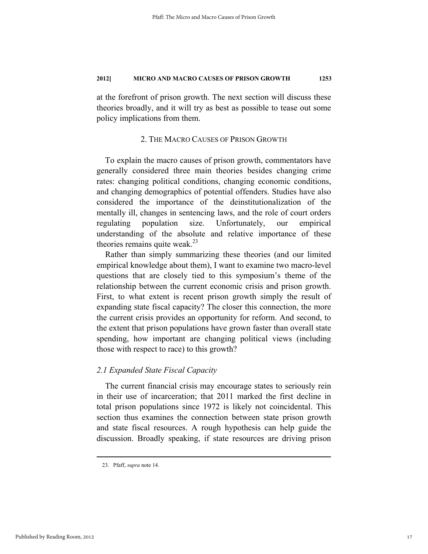at the forefront of prison growth. The next section will discuss these theories broadly, and it will try as best as possible to tease out some policy implications from them.

## 2. THE MACRO CAUSES OF PRISON GROWTH

To explain the macro causes of prison growth, commentators have generally considered three main theories besides changing crime rates: changing political conditions, changing economic conditions, and changing demographics of potential offenders. Studies have also considered the importance of the deinstitutionalization of the mentally ill, changes in sentencing laws, and the role of court orders regulating population size. Unfortunately, our empirical understanding of the absolute and relative importance of these theories remains quite weak.<sup>23</sup>

Rather than simply summarizing these theories (and our limited empirical knowledge about them), I want to examine two macro-level questions that are closely tied to this symposium's theme of the relationship between the current economic crisis and prison growth. First, to what extent is recent prison growth simply the result of expanding state fiscal capacity? The closer this connection, the more the current crisis provides an opportunity for reform. And second, to the extent that prison populations have grown faster than overall state spending, how important are changing political views (including those with respect to race) to this growth?

## *2.1 Expanded State Fiscal Capacity*

The current financial crisis may encourage states to seriously rein in their use of incarceration; that 2011 marked the first decline in total prison populations since 1972 is likely not coincidental. This section thus examines the connection between state prison growth and state fiscal resources. A rough hypothesis can help guide the discussion. Broadly speaking, if state resources are driving prison

 <sup>23.</sup> Pfaff, *supra* note 14.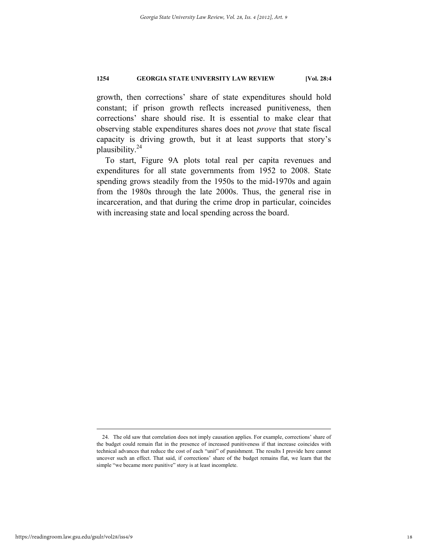growth, then corrections' share of state expenditures should hold constant; if prison growth reflects increased punitiveness, then corrections' share should rise. It is essential to make clear that observing stable expenditures shares does not *prove* that state fiscal capacity is driving growth, but it at least supports that story's plausibility.24

To start, Figure 9A plots total real per capita revenues and expenditures for all state governments from 1952 to 2008. State spending grows steadily from the 1950s to the mid-1970s and again from the 1980s through the late 2000s. Thus, the general rise in incarceration, and that during the crime drop in particular, coincides with increasing state and local spending across the board.

 <sup>24.</sup> The old saw that correlation does not imply causation applies. For example, corrections' share of the budget could remain flat in the presence of increased punitiveness if that increase coincides with technical advances that reduce the cost of each "unit" of punishment. The results I provide here cannot uncover such an effect. That said, if corrections' share of the budget remains flat, we learn that the simple "we became more punitive" story is at least incomplete.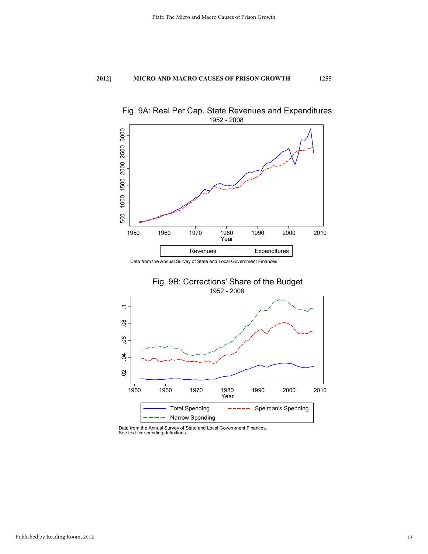

Fig. 9A: Real Per Cap. State Revenues and Expenditures

Data from the Annual Survey of State and Local Government Finances.



Data from the Annual Survey of State and Local Government Finances. See text for spending definitions.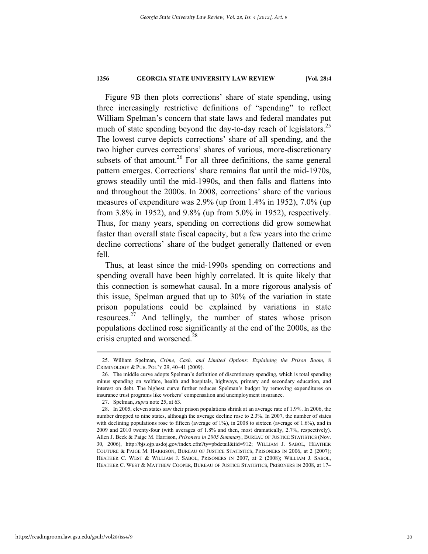Figure 9B then plots corrections' share of state spending, using three increasingly restrictive definitions of "spending" to reflect William Spelman's concern that state laws and federal mandates put much of state spending beyond the day-to-day reach of legislators.<sup>25</sup> The lowest curve depicts corrections' share of all spending, and the two higher curves corrections' shares of various, more-discretionary subsets of that amount.<sup>26</sup> For all three definitions, the same general pattern emerges. Corrections' share remains flat until the mid-1970s, grows steadily until the mid-1990s, and then falls and flattens into and throughout the 2000s. In 2008, corrections' share of the various measures of expenditure was 2.9% (up from 1.4% in 1952), 7.0% (up from 3.8% in 1952), and 9.8% (up from 5.0% in 1952), respectively. Thus, for many years, spending on corrections did grow somewhat faster than overall state fiscal capacity, but a few years into the crime decline corrections' share of the budget generally flattened or even fell.

Thus, at least since the mid-1990s spending on corrections and spending overall have been highly correlated. It is quite likely that this connection is somewhat causal. In a more rigorous analysis of this issue, Spelman argued that up to 30% of the variation in state prison populations could be explained by variations in state resources.27 And tellingly, the number of states whose prison populations declined rose significantly at the end of the 2000s, as the crisis erupted and worsened.<sup>28</sup>

<sup>&</sup>lt;u> 1989 - Johann Barn, mars eta bainar eta bat erroman erroman erroman erroman erroman erroman erroman erroman e</u> 25. William Spelman, *Crime, Cash, and Limited Options: Explaining the Prison Boom*, 8 CRIMINOLOGY & PUB. POL'Y 29, 40–41 (2009).

 <sup>26.</sup> The middle curve adopts Spelman's definition of discretionary spending, which is total spending minus spending on welfare, health and hospitals, highways, primary and secondary education, and interest on debt. The highest curve further reduces Spelman's budget by removing expenditures on insurance trust programs like workers' compensation and unemployment insurance.

 <sup>27.</sup> Spelman, *supra* note 25, at 63.

 <sup>28.</sup> In 2005, eleven states saw their prison populations shrink at an average rate of 1.9%. In 2006, the number dropped to nine states, although the average decline rose to 2.3%. In 2007, the number of states with declining populations rose to fifteen (average of 1%), in 2008 to sixteen (average of 1.6%), and in 2009 and 2010 twenty-four (with averages of 1.8% and then, most dramatically, 2.7%, respectively). Allen J. Beck & Paige M. Harrison, *Prisoners in 2005 Summary*, BUREAU OF JUSTICE STATISTICS (Nov. 30, 2006), http://bjs.ojp.usdoj.gov/index.cfm?ty=pbdetail&iid=912; WILLIAM J. SABOL, HEATHER COUTURE & PAIGE M. HARRISON, BUREAU OF JUSTICE STATISTICS, PRISONERS IN 2006, at 2 (2007); HEATHER C. WEST & WILLIAM J. SABOL, PRISONERS IN 2007, at 2 (2008); WILLIAM J. SABOL, HEATHER C. WEST & MATTHEW COOPER, BUREAU OF JUSTICE STATISTICS, PRISONERS IN 2008, at 17–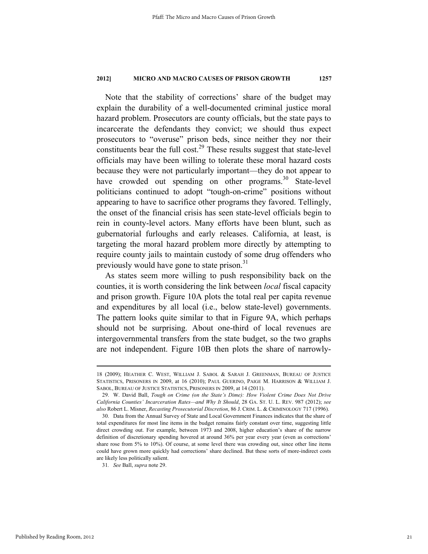Note that the stability of corrections' share of the budget may explain the durability of a well-documented criminal justice moral hazard problem. Prosecutors are county officials, but the state pays to incarcerate the defendants they convict; we should thus expect prosecutors to "overuse" prison beds, since neither they nor their constituents bear the full cost.<sup>29</sup> These results suggest that state-level officials may have been willing to tolerate these moral hazard costs because they were not particularly important—they do not appear to have crowded out spending on other programs.<sup>30</sup> State-level politicians continued to adopt "tough-on-crime" positions without appearing to have to sacrifice other programs they favored. Tellingly, the onset of the financial crisis has seen state-level officials begin to rein in county-level actors. Many efforts have been blunt, such as gubernatorial furloughs and early releases. California, at least, is targeting the moral hazard problem more directly by attempting to require county jails to maintain custody of some drug offenders who previously would have gone to state prison.<sup>31</sup>

As states seem more willing to push responsibility back on the counties, it is worth considering the link between *local* fiscal capacity and prison growth. Figure 10A plots the total real per capita revenue and expenditures by all local (i.e., below state-level) governments. The pattern looks quite similar to that in Figure 9A, which perhaps should not be surprising. About one-third of local revenues are intergovernmental transfers from the state budget, so the two graphs are not independent. Figure 10B then plots the share of narrowly-

<sup>18 (2009);</sup> HEATHER C. WEST, WILLIAM J. SABOL & SARAH J. GREENMAN, BUREAU OF JUSTICE STATISTICS, PRISONERS IN 2009, at 16 (2010); PAUL GUERINO, PAIGE M. HARRISON & WILLIAM J. SABOL, BUREAU OF JUSTICE STATISTICS, PRISONERS IN 2009, at 14 (2011).

 <sup>29.</sup> W. David Ball, *Tough on Crime (on the State's Dime): How Violent Crime Does Not Drive California Counties' Incarceration Rates—and Why It Should*, 28 GA. ST. U. L. REV. 987 (2012); *see also* Robert L. Misner, *Recasting Prosecutorial Discretion*, 86 J. CRIM. L. & CRIMINOLOGY 717 (1996).

 <sup>30.</sup> Data from the Annual Survey of State and Local Government Finances indicates that the share of total expenditures for most line items in the budget remains fairly constant over time, suggesting little direct crowding out. For example, between 1973 and 2008, higher education's share of the narrow definition of discretionary spending hovered at around 36% per year every year (even as corrections' share rose from 5% to 10%). Of course, at some level there was crowding out, since other line items could have grown more quickly had corrections' share declined. But these sorts of more-indirect costs are likely less politically salient.

<sup>31</sup>*. See* Ball, *supra* note 29.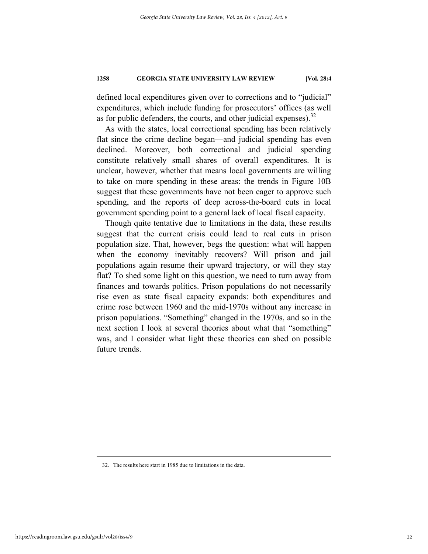defined local expenditures given over to corrections and to "judicial" expenditures, which include funding for prosecutors' offices (as well as for public defenders, the courts, and other judicial expenses). $32$ 

As with the states, local correctional spending has been relatively flat since the crime decline began—and judicial spending has even declined. Moreover, both correctional and judicial spending constitute relatively small shares of overall expenditures. It is unclear, however, whether that means local governments are willing to take on more spending in these areas: the trends in Figure 10B suggest that these governments have not been eager to approve such spending, and the reports of deep across-the-board cuts in local government spending point to a general lack of local fiscal capacity.

Though quite tentative due to limitations in the data, these results suggest that the current crisis could lead to real cuts in prison population size. That, however, begs the question: what will happen when the economy inevitably recovers? Will prison and jail populations again resume their upward trajectory, or will they stay flat? To shed some light on this question, we need to turn away from finances and towards politics. Prison populations do not necessarily rise even as state fiscal capacity expands: both expenditures and crime rose between 1960 and the mid-1970s without any increase in prison populations. "Something" changed in the 1970s, and so in the next section I look at several theories about what that "something" was, and I consider what light these theories can shed on possible future trends.

<u> 1989 - Johann Barn, mars eta bainar eta bat erroman erroman erroman erroman erroman erroman erroman erroman e</u>

32. The results here start in 1985 due to limitations in the data.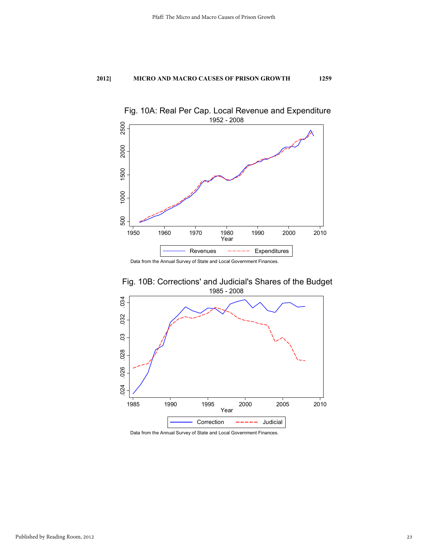

Data from the Annual Survey of State and Local Government Finances.



Fig. 10B: Corrections' and Judicial's Shares of the Budget

Data from the Annual Survey of State and Local Government Finances.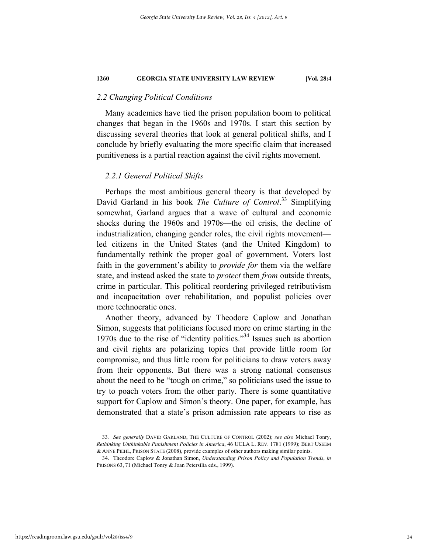## *2.2 Changing Political Conditions*

Many academics have tied the prison population boom to political changes that began in the 1960s and 1970s. I start this section by discussing several theories that look at general political shifts, and I conclude by briefly evaluating the more specific claim that increased punitiveness is a partial reaction against the civil rights movement.

## *2.2.1 General Political Shifts*

Perhaps the most ambitious general theory is that developed by David Garland in his book *The Culture of Control*. 33 Simplifying somewhat, Garland argues that a wave of cultural and economic shocks during the 1960s and 1970s—the oil crisis, the decline of industrialization, changing gender roles, the civil rights movement led citizens in the United States (and the United Kingdom) to fundamentally rethink the proper goal of government. Voters lost faith in the government's ability to *provide for* them via the welfare state, and instead asked the state to *protect* them *from* outside threats, crime in particular. This political reordering privileged retributivism and incapacitation over rehabilitation, and populist policies over more technocratic ones.

Another theory, advanced by Theodore Caplow and Jonathan Simon, suggests that politicians focused more on crime starting in the 1970s due to the rise of "identity politics."34 Issues such as abortion and civil rights are polarizing topics that provide little room for compromise, and thus little room for politicians to draw voters away from their opponents. But there was a strong national consensus about the need to be "tough on crime," so politicians used the issue to try to poach voters from the other party. There is some quantitative support for Caplow and Simon's theory. One paper, for example, has demonstrated that a state's prison admission rate appears to rise as

<sup>33</sup>*. See generally* DAVID GARLAND, THE CULTURE OF CONTROL (2002); *see also* Michael Tonry, *Rethinking Unthinkable Punishment Policies in America*, 46 UCLA L. REV. 1781 (1999); BERT USEEM & ANNE PIEHL, PRISON STATE (2008), provide examples of other authors making similar points.

 <sup>34.</sup> Theodore Caplow & Jonathan Simon, *Understanding Prison Policy and Population Trends*, *in*  PRISONS 63, 71 (Michael Tonry & Joan Petersilia eds., 1999).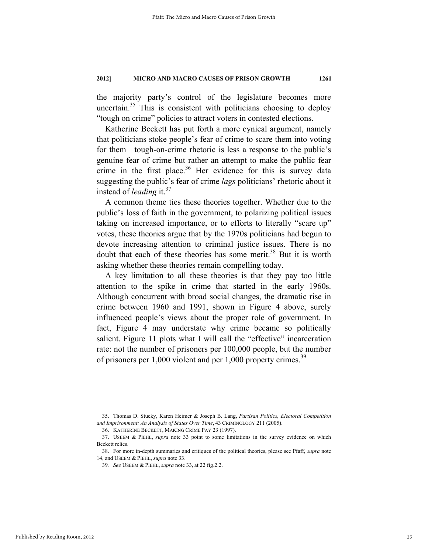the majority party's control of the legislature becomes more uncertain. $35$  This is consistent with politicians choosing to deploy "tough on crime" policies to attract voters in contested elections.

Katherine Beckett has put forth a more cynical argument, namely that politicians stoke people's fear of crime to scare them into voting for them—tough-on-crime rhetoric is less a response to the public's genuine fear of crime but rather an attempt to make the public fear crime in the first place.<sup>36</sup> Her evidence for this is survey data suggesting the public's fear of crime *lags* politicians' rhetoric about it instead of *leading* it.<sup>37</sup>

A common theme ties these theories together. Whether due to the public's loss of faith in the government, to polarizing political issues taking on increased importance, or to efforts to literally "scare up" votes, these theories argue that by the 1970s politicians had begun to devote increasing attention to criminal justice issues. There is no doubt that each of these theories has some merit.<sup>38</sup> But it is worth asking whether these theories remain compelling today.

A key limitation to all these theories is that they pay too little attention to the spike in crime that started in the early 1960s. Although concurrent with broad social changes, the dramatic rise in crime between 1960 and 1991, shown in Figure 4 above, surely influenced people's views about the proper role of government. In fact, Figure 4 may understate why crime became so politically salient. Figure 11 plots what I will call the "effective" incarceration rate: not the number of prisoners per 100,000 people, but the number of prisoners per  $1,000$  violent and per  $1,000$  property crimes.<sup>39</sup>

<sup>&</sup>lt;u> Andrewski program i području u predsjednje u program i području u predsjednje u program i području u program</u> 35. Thomas D. Stucky, Karen Heimer & Joseph B. Lang, *Partisan Politics, Electoral Competition and Imprisonment: An Analysis of States Over Time*, 43 CRIMINOLOGY 211 (2005).

 <sup>36.</sup> KATHERINE BECKETT, MAKING CRIME PAY 23 (1997).

 <sup>37.</sup> USEEM & PIEHL, *supra* note 33 point to some limitations in the survey evidence on which Beckett relies.

 <sup>38.</sup> For more in-depth summaries and critiques of the political theories, please see Pfaff, *supra* note 14, and USEEM & PIEHL, *supra* note 33.

<sup>39</sup>*. See* USEEM & PIEHL, *supra* note 33, at 22 fig.2.2.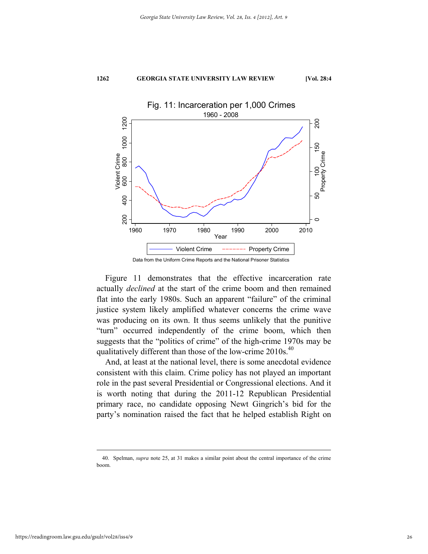

Figure 11 demonstrates that the effective incarceration rate actually *declined* at the start of the crime boom and then remained flat into the early 1980s. Such an apparent "failure" of the criminal justice system likely amplified whatever concerns the crime wave was producing on its own. It thus seems unlikely that the punitive "turn" occurred independently of the crime boom, which then suggests that the "politics of crime" of the high-crime 1970s may be qualitatively different than those of the low-crime  $2010s$ .<sup>40</sup>

And, at least at the national level, there is some anecdotal evidence consistent with this claim. Crime policy has not played an important role in the past several Presidential or Congressional elections. And it is worth noting that during the 2011-12 Republican Presidential primary race, no candidate opposing Newt Gingrich's bid for the party's nomination raised the fact that he helped establish Right on

<sup>&</sup>lt;u> Andrewski program i području u predsjednje u program i području u predsjednje u program i području u program</u> 40. Spelman, *supra* note 25, at 31 makes a similar point about the central importance of the crime boom.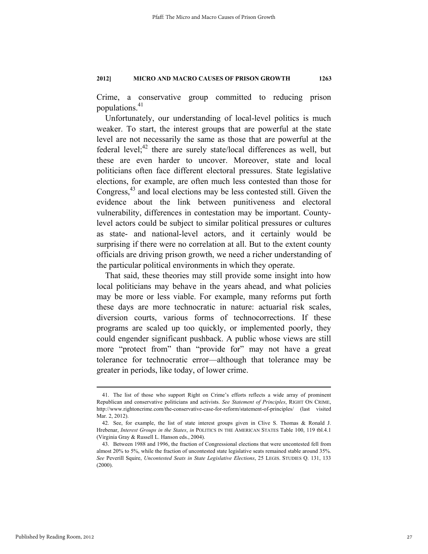Crime, a conservative group committed to reducing prison populations.<sup>41</sup>

Unfortunately, our understanding of local-level politics is much weaker. To start, the interest groups that are powerful at the state level are not necessarily the same as those that are powerful at the federal level; $^{42}$  there are surely state/local differences as well, but these are even harder to uncover. Moreover, state and local politicians often face different electoral pressures. State legislative elections, for example, are often much less contested than those for Congress,<sup>43</sup> and local elections may be less contested still. Given the evidence about the link between punitiveness and electoral vulnerability, differences in contestation may be important. Countylevel actors could be subject to similar political pressures or cultures as state- and national-level actors, and it certainly would be surprising if there were no correlation at all. But to the extent county officials are driving prison growth, we need a richer understanding of the particular political environments in which they operate.

That said, these theories may still provide some insight into how local politicians may behave in the years ahead, and what policies may be more or less viable. For example, many reforms put forth these days are more technocratic in nature: actuarial risk scales, diversion courts, various forms of technocorrections. If these programs are scaled up too quickly, or implemented poorly, they could engender significant pushback. A public whose views are still more "protect from" than "provide for" may not have a great tolerance for technocratic error—although that tolerance may be greater in periods, like today, of lower crime.

 <sup>41.</sup> The list of those who support Right on Crime's efforts reflects a wide array of prominent Republican and conservative politicians and activists. *See Statement of Principles*, RIGHT ON CRIME, http://www.rightoncrime.com/the-conservative-case-for-reform/statement-of-principles/ (last visited Mar. 2, 2012).

 <sup>42.</sup> See, for example, the list of state interest groups given in Clive S. Thomas & Ronald J. Hrebenar, *Interest Groups in the States*, *in* POLITICS IN THE AMERICAN STATES Table 100, 119 tbl.4.1 (Virginia Gray & Russell L. Hanson eds., 2004).

 <sup>43.</sup> Between 1988 and 1996, the fraction of Congressional elections that were uncontested fell from almost 20% to 5%, while the fraction of uncontested state legislative seats remained stable around 35%. *See* Peverill Squire, *Uncontested Seats in State Legislative Elections*, 25 LEGIS. STUDIES Q. 131, 133 (2000).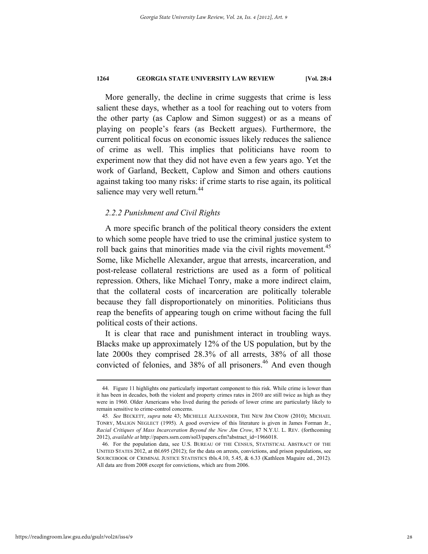More generally, the decline in crime suggests that crime is less salient these days, whether as a tool for reaching out to voters from the other party (as Caplow and Simon suggest) or as a means of playing on people's fears (as Beckett argues). Furthermore, the current political focus on economic issues likely reduces the salience of crime as well. This implies that politicians have room to experiment now that they did not have even a few years ago. Yet the work of Garland, Beckett, Caplow and Simon and others cautions against taking too many risks: if crime starts to rise again, its political salience may very well return.<sup>44</sup>

## *2.2.2 Punishment and Civil Rights*

A more specific branch of the political theory considers the extent to which some people have tried to use the criminal justice system to roll back gains that minorities made via the civil rights movement.<sup>45</sup> Some, like Michelle Alexander, argue that arrests, incarceration, and post-release collateral restrictions are used as a form of political repression. Others, like Michael Tonry, make a more indirect claim, that the collateral costs of incarceration are politically tolerable because they fall disproportionately on minorities. Politicians thus reap the benefits of appearing tough on crime without facing the full political costs of their actions.

It is clear that race and punishment interact in troubling ways. Blacks make up approximately 12% of the US population, but by the late 2000s they comprised 28.3% of all arrests, 38% of all those convicted of felonies, and 38% of all prisoners.<sup>46</sup> And even though

 <sup>44.</sup> Figure 11 highlights one particularly important component to this risk. While crime is lower than it has been in decades, both the violent and property crimes rates in 2010 are still twice as high as they were in 1960. Older Americans who lived during the periods of lower crime are particularly likely to remain sensitive to crime-control concerns.

<sup>45</sup>*. See* BECKETT, *supra* note 43; MICHELLE ALEXANDER, THE NEW JIM CROW (2010); MICHAEL TONRY, MALIGN NEGLECT (1995). A good overview of this literature is given in James Forman Jr., *Racial Critiques of Mass Incarceration Beyond the New Jim Crow*, 87 N.Y.U. L. REV. (forthcoming 2012), *available at* http://papers.ssrn.com/sol3/papers.cfm?abstract\_id=1966018.

 <sup>46.</sup> For the population data, see U.S. BUREAU OF THE CENSUS, STATISTICAL ABSTRACT OF THE UNITED STATES 2012, at tbl.695 (2012); for the data on arrests, convictions, and prison populations, see SOURCEBOOK OF CRIMINAL JUSTICE STATISTICS tbls.4.10, 5.45, & 6.33 (Kathleen Maguire ed., 2012). All data are from 2008 except for convictions, which are from 2006.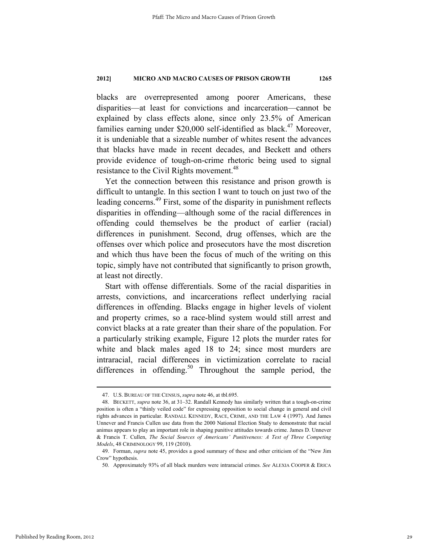blacks are overrepresented among poorer Americans, these disparities—at least for convictions and incarceration—cannot be explained by class effects alone, since only 23.5% of American families earning under \$20,000 self-identified as black.<sup>47</sup> Moreover, it is undeniable that a sizeable number of whites resent the advances that blacks have made in recent decades, and Beckett and others provide evidence of tough-on-crime rhetoric being used to signal resistance to the Civil Rights movement.<sup>48</sup>

Yet the connection between this resistance and prison growth is difficult to untangle. In this section I want to touch on just two of the leading concerns.49 First, some of the disparity in punishment reflects disparities in offending—although some of the racial differences in offending could themselves be the product of earlier (racial) differences in punishment. Second, drug offenses, which are the offenses over which police and prosecutors have the most discretion and which thus have been the focus of much of the writing on this topic, simply have not contributed that significantly to prison growth, at least not directly.

Start with offense differentials. Some of the racial disparities in arrests, convictions, and incarcerations reflect underlying racial differences in offending. Blacks engage in higher levels of violent and property crimes, so a race-blind system would still arrest and convict blacks at a rate greater than their share of the population. For a particularly striking example, Figure 12 plots the murder rates for white and black males aged 18 to 24; since most murders are intraracial, racial differences in victimization correlate to racial differences in offending.<sup>50</sup> Throughout the sample period, the

 <sup>47.</sup> U.S. BUREAU OF THE CENSUS, *supra* note 46, at tbl.695.

 <sup>48.</sup> BECKETT, *supra* note 36, at 31–32. Randall Kennedy has similarly written that a tough-on-crime position is often a "thinly veiled code" for expressing opposition to social change in general and civil rights advances in particular. RANDALL KENNEDY, RACE, CRIME, AND THE LAW 4 (1997). And James Unnever and Francis Cullen use data from the 2000 National Election Study to demonstrate that racial animus appears to play an important role in shaping punitive attitudes towards crime. James D. Unnever & Francis T. Cullen, *The Social Sources of Americans' Punitiveness: A Test of Three Competing Models*, 48 CRIMINOLOGY 99, 119 (2010).

 <sup>49.</sup> Forman, *supra* note 45, provides a good summary of these and other criticism of the "New Jim Crow" hypothesis.

 <sup>50.</sup> Approximately 93% of all black murders were intraracial crimes. *See* ALEXIA COOPER & ERICA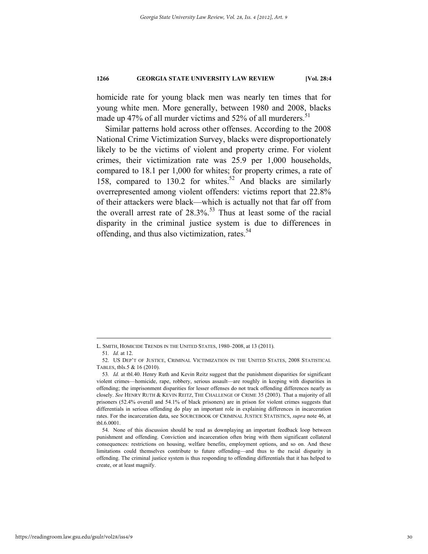homicide rate for young black men was nearly ten times that for young white men. More generally, between 1980 and 2008, blacks made up 47% of all murder victims and 52% of all murderers.<sup>51</sup>

Similar patterns hold across other offenses. According to the 2008 National Crime Victimization Survey, blacks were disproportionately likely to be the victims of violent and property crime. For violent crimes, their victimization rate was 25.9 per 1,000 households, compared to 18.1 per 1,000 for whites; for property crimes, a rate of 158, compared to 130.2 for whites.<sup>52</sup> And blacks are similarly overrepresented among violent offenders: victims report that 22.8% of their attackers were black—which is actually not that far off from the overall arrest rate of  $28.3\%$ .<sup>53</sup> Thus at least some of the racial disparity in the criminal justice system is due to differences in offending, and thus also victimization, rates.<sup>54</sup>

L. SMITH, HOMICIDE TRENDS IN THE UNITED STATES, 1980–2008, at 13 (2011).

<sup>51</sup>*. Id.* at 12.

 <sup>52.</sup> US DEP'T OF JUSTICE, CRIMINAL VICTIMIZATION IN THE UNITED STATES, 2008 STATISTICAL TABLES, tbls.5 & 16 (2010).

<sup>53</sup>*. Id.* at tbl.40. Henry Ruth and Kevin Reitz suggest that the punishment disparities for significant violent crimes—homicide, rape, robbery, serious assault—are roughly in keeping with disparities in offending; the imprisonment disparities for lesser offenses do not track offending differences nearly as closely. *See* HENRY RUTH & KEVIN REITZ, THE CHALLENGE OF CRIME 35 (2003). That a majority of all prisoners (52.4% overall and 54.1% of black prisoners) are in prison for violent crimes suggests that differentials in serious offending do play an important role in explaining differences in incarceration rates. For the incarceration data, see SOURCEBOOK OF CRIMINAL JUSTICE STATISTICS, *supra* note 46, at tbl.6.0001.

 <sup>54.</sup> None of this discussion should be read as downplaying an important feedback loop between punishment and offending. Conviction and incarceration often bring with them significant collateral consequences: restrictions on housing, welfare benefits, employment options, and so on. And these limitations could themselves contribute to future offending—and thus to the racial disparity in offending. The criminal justice system is thus responding to offending differentials that it has helped to create, or at least magnify.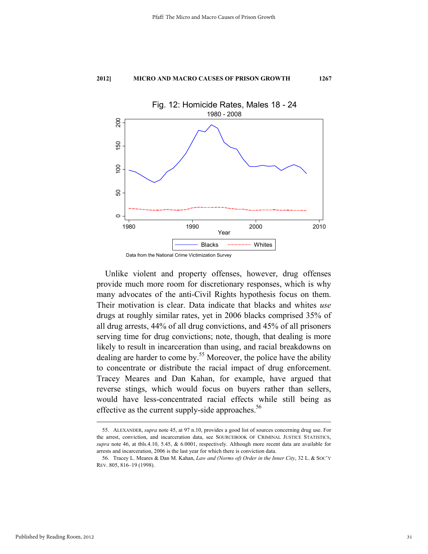

Data from the National Crime Victimization Survey

Unlike violent and property offenses, however, drug offenses provide much more room for discretionary responses, which is why many advocates of the anti-Civil Rights hypothesis focus on them. Their motivation is clear. Data indicate that blacks and whites *use* drugs at roughly similar rates, yet in 2006 blacks comprised 35% of all drug arrests, 44% of all drug convictions, and 45% of all prisoners serving time for drug convictions; note, though, that dealing is more likely to result in incarceration than using, and racial breakdowns on dealing are harder to come by.<sup>55</sup> Moreover, the police have the ability to concentrate or distribute the racial impact of drug enforcement. Tracey Meares and Dan Kahan, for example, have argued that reverse stings, which would focus on buyers rather than sellers, would have less-concentrated racial effects while still being as effective as the current supply-side approaches.<sup>56</sup>

 <sup>55.</sup> ALEXANDER, *supra* note 45, at 97 n.10, provides a good list of sources concerning drug use. For the arrest, conviction, and incarceration data, see SOURCEBOOK OF CRIMINAL JUSTICE STATISTICS, *supra* note 46, at tbls.4.10, 5.45, & 6.0001, respectively. Although more recent data are available for arrests and incarceration, 2006 is the last year for which there is conviction data.

 <sup>56.</sup> Tracey L. Meares & Dan M. Kahan, *Law and (Norms of) Order in the Inner City*, 32 L. & SOC'Y REV. 805, 816–19 (1998).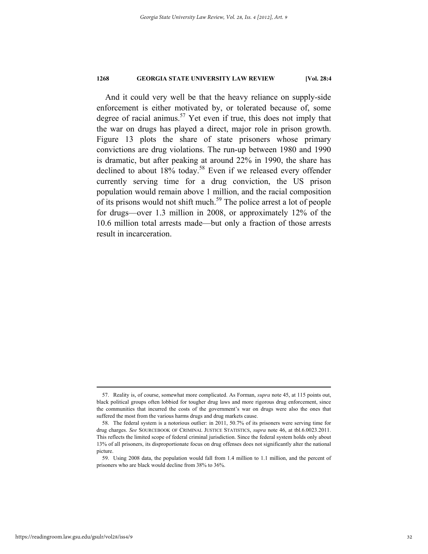And it could very well be that the heavy reliance on supply-side enforcement is either motivated by, or tolerated because of, some degree of racial animus.<sup>57</sup> Yet even if true, this does not imply that the war on drugs has played a direct, major role in prison growth. Figure 13 plots the share of state prisoners whose primary convictions are drug violations. The run-up between 1980 and 1990 is dramatic, but after peaking at around 22% in 1990, the share has declined to about 18% today.<sup>58</sup> Even if we released every offender currently serving time for a drug conviction, the US prison population would remain above 1 million, and the racial composition of its prisons would not shift much.<sup>59</sup> The police arrest a lot of people for drugs—over 1.3 million in 2008, or approximately 12% of the 10.6 million total arrests made—but only a fraction of those arrests result in incarceration.

 <sup>57.</sup> Reality is, of course, somewhat more complicated. As Forman, *supra* note 45, at 115 points out, black political groups often lobbied for tougher drug laws and more rigorous drug enforcement, since the communities that incurred the costs of the government's war on drugs were also the ones that suffered the most from the various harms drugs and drug markets cause.

 <sup>58.</sup> The federal system is a notorious outlier: in 2011, 50.7% of its prisoners were serving time for drug charges. *See* SOURCEBOOK OF CRIMINAL JUSTICE STATISTICS, *supra* note 46, at tbl.6.0023.2011. This reflects the limited scope of federal criminal jurisdiction. Since the federal system holds only about 13% of all prisoners, its disproportionate focus on drug offenses does not significantly alter the national picture.

 <sup>59.</sup> Using 2008 data, the population would fall from 1.4 million to 1.1 million, and the percent of prisoners who are black would decline from 38% to 36%.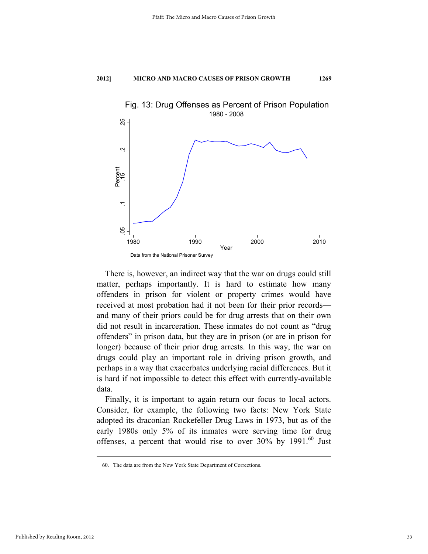

There is, however, an indirect way that the war on drugs could still matter, perhaps importantly. It is hard to estimate how many offenders in prison for violent or property crimes would have received at most probation had it not been for their prior records and many of their priors could be for drug arrests that on their own did not result in incarceration. These inmates do not count as "drug offenders" in prison data, but they are in prison (or are in prison for longer) because of their prior drug arrests. In this way, the war on drugs could play an important role in driving prison growth, and perhaps in a way that exacerbates underlying racial differences. But it is hard if not impossible to detect this effect with currently-available data.

Finally, it is important to again return our focus to local actors. Consider, for example, the following two facts: New York State adopted its draconian Rockefeller Drug Laws in 1973, but as of the early 1980s only 5% of its inmates were serving time for drug offenses, a percent that would rise to over  $30\%$  by  $1991$ .<sup>60</sup> Just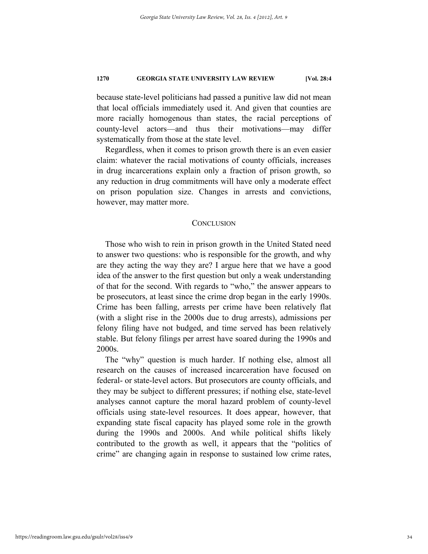because state-level politicians had passed a punitive law did not mean that local officials immediately used it. And given that counties are more racially homogenous than states, the racial perceptions of county-level actors—and thus their motivations—may differ systematically from those at the state level.

Regardless, when it comes to prison growth there is an even easier claim: whatever the racial motivations of county officials, increases in drug incarcerations explain only a fraction of prison growth, so any reduction in drug commitments will have only a moderate effect on prison population size. Changes in arrests and convictions, however, may matter more.

## **CONCLUSION**

Those who wish to rein in prison growth in the United Stated need to answer two questions: who is responsible for the growth, and why are they acting the way they are? I argue here that we have a good idea of the answer to the first question but only a weak understanding of that for the second. With regards to "who," the answer appears to be prosecutors, at least since the crime drop began in the early 1990s. Crime has been falling, arrests per crime have been relatively flat (with a slight rise in the 2000s due to drug arrests), admissions per felony filing have not budged, and time served has been relatively stable. But felony filings per arrest have soared during the 1990s and 2000s.

The "why" question is much harder. If nothing else, almost all research on the causes of increased incarceration have focused on federal- or state-level actors. But prosecutors are county officials, and they may be subject to different pressures; if nothing else, state-level analyses cannot capture the moral hazard problem of county-level officials using state-level resources. It does appear, however, that expanding state fiscal capacity has played some role in the growth during the 1990s and 2000s. And while political shifts likely contributed to the growth as well, it appears that the "politics of crime" are changing again in response to sustained low crime rates,